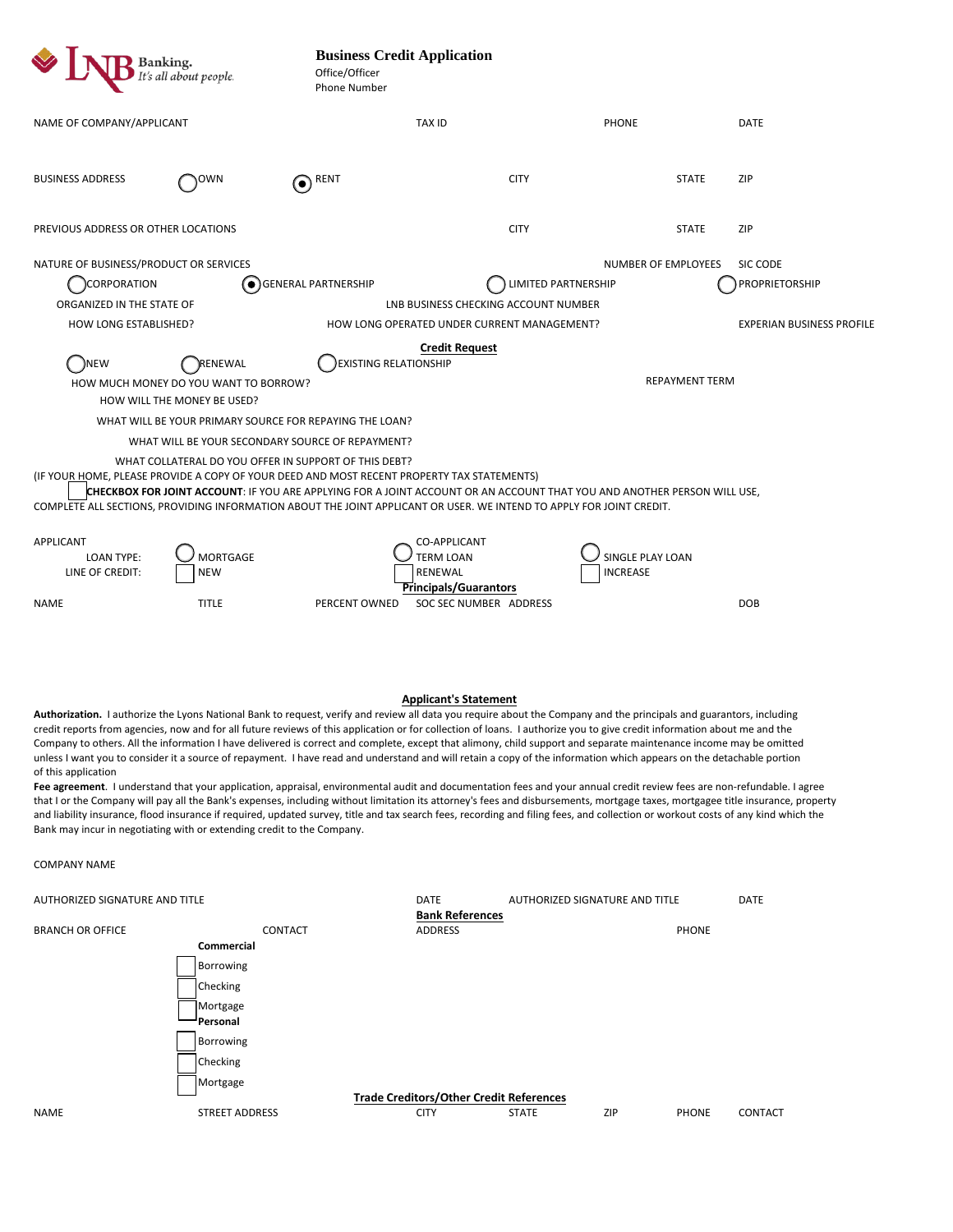Authorization. I authorize the Lyons National Bank to request, verify and review all data you require about the Company and the principals and guarantors, including credit reports from agencies, now and for all future reviews of this application or for collection of loans. I authorize you to give credit information about me and the Company to others. All the information I have delivered is correct and complete, except that alimony, child support and separate maintenance income may be omitted unless I want you to consider it a source of repayment. I have read and understand and will retain a copy of the information which appears on the detachable portion of this application

| <b>Banking.</b><br>It's all about people.                                                                                                                                                                                                                                                                                                                                                                                                                                                                                                                                                                                                                           |                               | <b>Business Credit Application</b><br>Office/Officer<br><b>Phone Number</b> |                                                                      |                                     |                                   |  |
|---------------------------------------------------------------------------------------------------------------------------------------------------------------------------------------------------------------------------------------------------------------------------------------------------------------------------------------------------------------------------------------------------------------------------------------------------------------------------------------------------------------------------------------------------------------------------------------------------------------------------------------------------------------------|-------------------------------|-----------------------------------------------------------------------------|----------------------------------------------------------------------|-------------------------------------|-----------------------------------|--|
| NAME OF COMPANY/APPLICANT                                                                                                                                                                                                                                                                                                                                                                                                                                                                                                                                                                                                                                           |                               | <b>TAX ID</b>                                                               |                                                                      | <b>PHONE</b>                        | <b>DATE</b>                       |  |
| <b>BUSINESS ADDRESS</b>                                                                                                                                                                                                                                                                                                                                                                                                                                                                                                                                                                                                                                             | ιOWN                          | RENT<br>$(\bullet)$                                                         | <b>CITY</b>                                                          | <b>STATE</b>                        | <b>ZIP</b>                        |  |
| PREVIOUS ADDRESS OR OTHER LOCATIONS                                                                                                                                                                                                                                                                                                                                                                                                                                                                                                                                                                                                                                 |                               |                                                                             | <b>CITY</b>                                                          | <b>STATE</b>                        | <b>ZIP</b>                        |  |
| NATURE OF BUSINESS/PRODUCT OR SERVICES<br>CORPORATION<br>ORGANIZED IN THE STATE OF                                                                                                                                                                                                                                                                                                                                                                                                                                                                                                                                                                                  |                               | $\left( \bullet \right)$ GENERAL PARTNERSHIP                                | LIMITED PARTNERSHIP<br>LNB BUSINESS CHECKING ACCOUNT NUMBER          | NUMBER OF EMPLOYEES                 | <b>SIC CODE</b><br>PROPRIETORSHIP |  |
| HOW LONG ESTABLISHED?                                                                                                                                                                                                                                                                                                                                                                                                                                                                                                                                                                                                                                               |                               |                                                                             | HOW LONG OPERATED UNDER CURRENT MANAGEMENT?<br><b>Credit Request</b> |                                     | <b>EXPERIAN BUSINESS PROFILE</b>  |  |
| EXISTING RELATIONSHIP<br>)NEW<br>)RENEWAL<br><b>REPAYMENT TERM</b><br>HOW MUCH MONEY DO YOU WANT TO BORROW?<br>HOW WILL THE MONEY BE USED?<br>WHAT WILL BE YOUR PRIMARY SOURCE FOR REPAYING THE LOAN?<br>WHAT WILL BE YOUR SECONDARY SOURCE OF REPAYMENT?<br>WHAT COLLATERAL DO YOU OFFER IN SUPPORT OF THIS DEBT?<br>(IF YOUR HOME, PLEASE PROVIDE A COPY OF YOUR DEED AND MOST RECENT PROPERTY TAX STATEMENTS)<br>CHECKBOX FOR JOINT ACCOUNT: IF YOU ARE APPLYING FOR A JOINT ACCOUNT OR AN ACCOUNT THAT YOU AND ANOTHER PERSON WILL USE,<br>COMPLETE ALL SECTIONS, PROVIDING INFORMATION ABOUT THE JOINT APPLICANT OR USER. WE INTEND TO APPLY FOR JOINT CREDIT. |                               |                                                                             |                                                                      |                                     |                                   |  |
| APPLICANT<br><b>LOAN TYPE:</b><br>LINE OF CREDIT:                                                                                                                                                                                                                                                                                                                                                                                                                                                                                                                                                                                                                   | <b>MORTGAGE</b><br><b>NEW</b> | <b>TERM LOAN</b><br>RENEWAL                                                 | CO-APPLICANT<br><b>Principals/Guarantors</b>                         | SINGLE PLAY LOAN<br><b>INCREASE</b> |                                   |  |

**Applicant's Statement**

PERCENT OWNED SOC SEC NUMBER ADDRESS DOB

Fee agreement. I understand that your application, appraisal, environmental audit and documentation fees and your annual credit review fees are non-refundable. I agree that I or the Company will pay all the Bank's expenses, including without limitation its attorney's fees and disbursements, mortgage taxes, mortgagee title insurance, property and liability insurance, flood insurance if required, updated survey, title and tax search fees, recording and filing fees, and collection or workout costs of any kind which the Bank may incur in negotiating with or extending credit to the Company.

COMPANY NAME

NAME TITLE

| AUTHORIZED SIGNATURE AND TITLE |         | DATE                   | AUTHORIZED SIGNATURE AND TITLE |              | <b>DATE</b> |
|--------------------------------|---------|------------------------|--------------------------------|--------------|-------------|
|                                |         | <b>Bank References</b> |                                |              |             |
| <b>BRANCH OR OFFICE</b>        | CONTACT | <b>ADDRESS</b>         |                                | <b>PHONE</b> |             |
| Commercial                     |         |                        |                                |              |             |